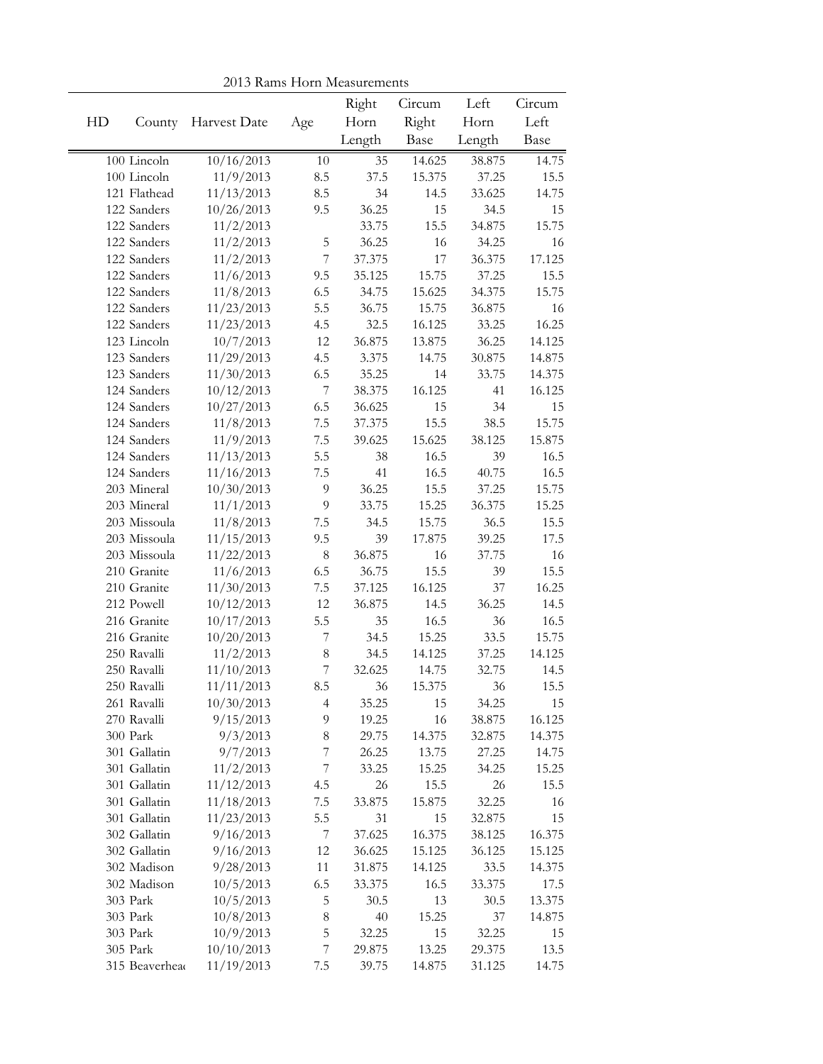|    | <b>TO IS INALITY I TOILL IMEASUREMENTS</b><br>Right<br>Left<br>Circum |              |                          |        |        |        |                |
|----|-----------------------------------------------------------------------|--------------|--------------------------|--------|--------|--------|----------------|
| HD | County                                                                | Harvest Date | Age                      | Horn   | Right  | Horn   | Circum<br>Left |
|    |                                                                       |              |                          | Length | Base   | Length | Base           |
|    |                                                                       |              |                          |        |        |        |                |
|    | 100 Lincoln<br>100 Lincoln                                            | 10/16/2013   | 10                       | 35     | 14.625 | 38.875 | 14.75          |
|    |                                                                       | 11/9/2013    | 8.5                      | 37.5   | 15.375 | 37.25  | 15.5           |
|    | 121 Flathead                                                          | 11/13/2013   | 8.5                      | 34     | 14.5   | 33.625 | 14.75          |
|    | 122 Sanders                                                           | 10/26/2013   | 9.5                      | 36.25  | 15     | 34.5   | 15<br>15.75    |
|    | 122 Sanders                                                           | 11/2/2013    |                          | 33.75  | 15.5   | 34.875 |                |
|    | 122 Sanders                                                           | 11/2/2013    | 5                        | 36.25  | 16     | 34.25  | 16             |
|    | 122 Sanders                                                           | 11/2/2013    | $\overline{7}$           | 37.375 | 17     | 36.375 | 17.125         |
|    | 122 Sanders                                                           | 11/6/2013    | 9.5                      | 35.125 | 15.75  | 37.25  | 15.5           |
|    | 122 Sanders                                                           | 11/8/2013    | 6.5                      | 34.75  | 15.625 | 34.375 | 15.75          |
|    | 122 Sanders                                                           | 11/23/2013   | 5.5                      | 36.75  | 15.75  | 36.875 | 16             |
|    | 122 Sanders                                                           | 11/23/2013   | 4.5                      | 32.5   | 16.125 | 33.25  | 16.25          |
|    | 123 Lincoln                                                           | 10/7/2013    | 12                       | 36.875 | 13.875 | 36.25  | 14.125         |
|    | 123 Sanders                                                           | 11/29/2013   | 4.5                      | 3.375  | 14.75  | 30.875 | 14.875         |
|    | 123 Sanders                                                           | 11/30/2013   | 6.5                      | 35.25  | 14     | 33.75  | 14.375         |
|    | 124 Sanders                                                           | 10/12/2013   | 7                        | 38.375 | 16.125 | 41     | 16.125         |
|    | 124 Sanders                                                           | 10/27/2013   | 6.5                      | 36.625 | 15     | 34     | 15             |
|    | 124 Sanders                                                           | 11/8/2013    | $7.5\,$                  | 37.375 | 15.5   | 38.5   | 15.75          |
|    | 124 Sanders                                                           | 11/9/2013    | $7.5\,$                  | 39.625 | 15.625 | 38.125 | 15.875         |
|    | 124 Sanders                                                           | 11/13/2013   | 5.5                      | 38     | 16.5   | 39     | 16.5           |
|    | 124 Sanders                                                           | 11/16/2013   | $7.5\,$                  | 41     | 16.5   | 40.75  | 16.5           |
|    | 203 Mineral                                                           | 10/30/2013   | $\overline{9}$           | 36.25  | 15.5   | 37.25  | 15.75          |
|    | 203 Mineral                                                           | 11/1/2013    | 9                        | 33.75  | 15.25  | 36.375 | 15.25          |
|    | 203 Missoula                                                          | 11/8/2013    | $7.5\,$                  | 34.5   | 15.75  | 36.5   | 15.5           |
|    | 203 Missoula                                                          | 11/15/2013   | 9.5                      | 39     | 17.875 | 39.25  | 17.5           |
|    | 203 Missoula                                                          | 11/22/2013   | $\,8\,$                  | 36.875 | 16     | 37.75  | 16             |
|    | 210 Granite                                                           | 11/6/2013    | 6.5                      | 36.75  | 15.5   | 39     | 15.5           |
|    | 210 Granite                                                           | 11/30/2013   | 7.5                      | 37.125 | 16.125 | 37     | 16.25          |
|    | 212 Powell                                                            | 10/12/2013   | 12                       | 36.875 | 14.5   | 36.25  | 14.5           |
|    | 216 Granite                                                           | 10/17/2013   | 5.5                      | 35     | 16.5   | 36     | 16.5           |
|    | 216 Granite                                                           | 10/20/2013   | $\boldsymbol{7}$         | 34.5   | 15.25  | 33.5   | 15.75          |
|    | 250 Ravalli                                                           | 11/2/2013    | 8                        | 34.5   | 14.125 | 37.25  | 14.125         |
|    | 250 Ravalli                                                           | 11/10/2013   | $\overline{\mathcal{I}}$ | 32.625 | 14.75  | 32.75  | 14.5           |
|    | 250 Ravalli                                                           | 11/11/2013   | 8.5                      | 36     | 15.375 | 36     | 15.5           |
|    | 261 Ravalli                                                           | 10/30/2013   | 4                        | 35.25  | 15     | 34.25  | 15             |
|    | 270 Ravalli                                                           | 9/15/2013    | 9                        | 19.25  | 16     | 38.875 | 16.125         |
|    | 300 Park                                                              | 9/3/2013     | 8                        | 29.75  | 14.375 | 32.875 | 14.375         |
|    | 301 Gallatin                                                          | 9/7/2013     | 7                        | 26.25  | 13.75  | 27.25  | 14.75          |
|    | 301 Gallatin                                                          | 11/2/2013    | $\boldsymbol{7}$         | 33.25  | 15.25  | 34.25  | 15.25          |
|    | 301 Gallatin                                                          | 11/12/2013   | 4.5                      | 26     | 15.5   | 26     | 15.5           |
|    | 301 Gallatin                                                          | 11/18/2013   | 7.5                      | 33.875 | 15.875 | 32.25  | 16             |
|    | 301 Gallatin                                                          | 11/23/2013   | 5.5                      | 31     | 15     | 32.875 | 15             |
|    | 302 Gallatin                                                          | 9/16/2013    | 7                        | 37.625 | 16.375 | 38.125 | 16.375         |
|    | 302 Gallatin                                                          | 9/16/2013    | 12                       | 36.625 | 15.125 | 36.125 | 15.125         |
|    | 302 Madison                                                           | 9/28/2013    | 11                       | 31.875 | 14.125 | 33.5   | 14.375         |
|    | 302 Madison                                                           | 10/5/2013    | 6.5                      | 33.375 | 16.5   | 33.375 | 17.5           |
|    | 303 Park                                                              | 10/5/2013    | 5                        | 30.5   | 13     | 30.5   | 13.375         |
|    | 303 Park                                                              | 10/8/2013    | $\,$ $\,$                | 40     | 15.25  | 37     | 14.875         |
|    | 303 Park                                                              | 10/9/2013    | 5                        | 32.25  | 15     | 32.25  | 15             |
|    | 305 Park                                                              | 10/10/2013   | $\boldsymbol{7}$         | 29.875 | 13.25  | 29.375 | 13.5           |
|    | 315 Beaverhead                                                        | 11/19/2013   | 7.5                      | 39.75  | 14.875 | 31.125 | 14.75          |

2013 Rams Horn Measurements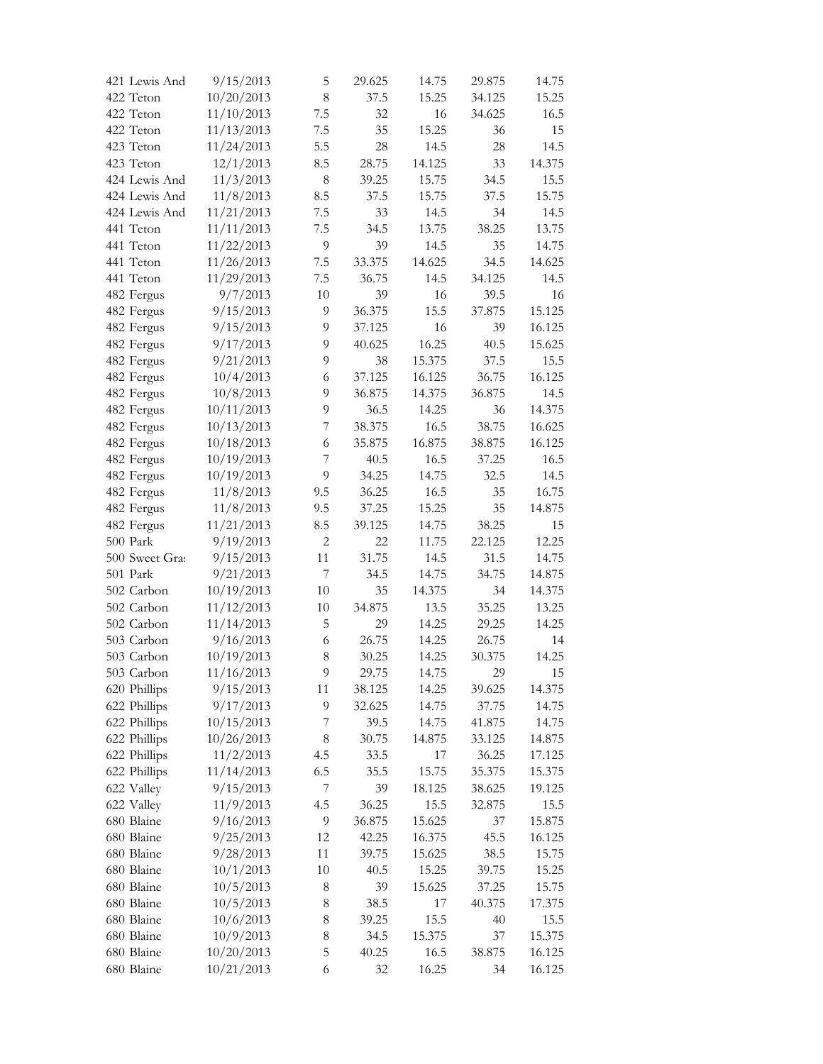| 421 Lewis And  | 9/15/2013  | 5                        | 29.625         | 14.75         | 29.875   | 14.75  |
|----------------|------------|--------------------------|----------------|---------------|----------|--------|
| 422 Teton      | 10/20/2013 | 8                        | 37.5           | 15.25         | 34.125   | 15.25  |
| 422 Teton      | 11/10/2013 | 7.5                      | 32             | 16            | 34.625   | 16.5   |
| 422 Teton      | 11/13/2013 | 7.5                      | 35             | 15.25         | 36       | 15     |
| 423 Teton      | 11/24/2013 | 5.5                      | 28             | 14.5          | 28       | 14.5   |
| 423 Teton      | 12/1/2013  | 8.5                      | 28.75          | 14.125        | 33       | 14.375 |
| 424 Lewis And  | 11/3/2013  | $\,8\,$                  | 39.25          | 15.75         | 34.5     | 15.5   |
| 424 Lewis And  | 11/8/2013  | 8.5                      | 37.5           | 15.75         | 37.5     | 15.75  |
| 424 Lewis And  | 11/21/2013 | 7.5                      | 33             | 14.5          | 34       | 14.5   |
| 441 Teton      | 11/11/2013 | 7.5                      | 34.5           | 13.75         | 38.25    | 13.75  |
| 441 Teton      | 11/22/2013 | 9                        | 39             | 14.5          | 35       | 14.75  |
| 441 Teton      | 11/26/2013 | 7.5                      | 33.375         | 14.625        | 34.5     | 14.625 |
| 441 Teton      | 11/29/2013 | 7.5                      | 36.75          | 14.5          | 34.125   | 14.5   |
| 482 Fergus     | 9/7/2013   | 10                       | 39             | 16            | 39.5     | 16     |
| 482 Fergus     | 9/15/2013  | 9                        | 36.375         | 15.5          | 37.875   | 15.125 |
| 482 Fergus     | 9/15/2013  | 9                        | 37.125         | 16            | 39       | 16.125 |
| 482 Fergus     | 9/17/2013  | 9                        | 40.625         | 16.25         | 40.5     | 15.625 |
| 482 Fergus     | 9/21/2013  | 9                        | 38             | 15.375        | 37.5     | 15.5   |
| 482 Fergus     | 10/4/2013  | 6                        | 37.125         | 16.125        | 36.75    | 16.125 |
| 482 Fergus     | 10/8/2013  | 9                        | 36.875         | 14.375        | 36.875   | 14.5   |
| 482 Fergus     | 10/11/2013 | 9                        | 36.5           | 14.25         | 36       | 14.375 |
| 482 Fergus     | 10/13/2013 | $\overline{\mathcal{I}}$ | 38.375         | 16.5          | 38.75    | 16.625 |
| 482 Fergus     | 10/18/2013 | 6                        | 35.875         | 16.875        | 38.875   | 16.125 |
| 482 Fergus     | 10/19/2013 | $\overline{7}$           | 40.5           | 16.5          | 37.25    | 16.5   |
| 482 Fergus     | 10/19/2013 | 9                        | 34.25          | 14.75         | 32.5     | 14.5   |
|                |            |                          |                |               |          |        |
| 482 Fergus     | 11/8/2013  | 9.5<br>9.5               | 36.25<br>37.25 | 16.5<br>15.25 | 35<br>35 | 16.75  |
| 482 Fergus     | 11/8/2013  |                          |                |               |          | 14.875 |
| 482 Fergus     | 11/21/2013 | 8.5                      | 39.125         | 14.75         | 38.25    | 15     |
| 500 Park       | 9/19/2013  | $\overline{2}$           | 22             | 11.75         | 22.125   | 12.25  |
| 500 Sweet Gras | 9/15/2013  | 11                       | 31.75          | 14.5          | 31.5     | 14.75  |
| 501 Park       | 9/21/2013  | $\overline{7}$           | 34.5           | 14.75         | 34.75    | 14.875 |
| 502 Carbon     | 10/19/2013 | 10                       | 35             | 14.375        | 34       | 14.375 |
| 502 Carbon     | 11/12/2013 | 10                       | 34.875         | 13.5          | 35.25    | 13.25  |
| 502 Carbon     | 11/14/2013 | 5                        | 29             | 14.25         | 29.25    | 14.25  |
| 503 Carbon     | 9/16/2013  | 6                        | 26.75          | 14.25         | 26.75    | 14     |
| 503 Carbon     | 10/19/2013 | $8\,$                    | 30.25          | 14.25         | 30.375   | 14.25  |
| 503 Carbon     | 11/16/2013 | $\overline{Q}$           | 29.75          | 14.75         | 29       | 15     |
| 620 Phillips   | 9/15/2013  | 11                       | 38.125         | 14.25         | 39.625   | 14.375 |
| 622 Phillips   | 9/17/2013  | $\overline{9}$           | 32.625         | 14.75         | 37.75    | 14.75  |
| 622 Phillips   | 10/15/2013 | 7                        | 39.5           | 14.75         | 41.875   | 14.75  |
| 622 Phillips   | 10/26/2013 | 8                        | 30.75          | 14.875        | 33.125   | 14.875 |
| 622 Phillips   | 11/2/2013  | 4.5                      | 33.5           | 17            | 36.25    | 17.125 |
| 622 Phillips   | 11/14/2013 | 6.5                      | 35.5           | 15.75         | 35.375   | 15.375 |
| 622 Valley     | 9/15/2013  | 7                        | 39             | 18.125        | 38.625   | 19.125 |
| 622 Valley     | 11/9/2013  | 4.5                      | 36.25          | 15.5          | 32.875   | 15.5   |
| 680 Blaine     | 9/16/2013  | $\mathfrak{g}$           | 36.875         | 15.625        | 37       | 15.875 |
| 680 Blaine     | 9/25/2013  | 12                       | 42.25          | 16.375        | 45.5     | 16.125 |
| 680 Blaine     | 9/28/2013  | 11                       | 39.75          | 15.625        | 38.5     | 15.75  |
| 680 Blaine     | 10/1/2013  | 10                       | 40.5           | 15.25         | 39.75    | 15.25  |
| 680 Blaine     | 10/5/2013  | 8                        | 39             | 15.625        | 37.25    | 15.75  |
| 680 Blaine     | 10/5/2013  | 8                        | 38.5           | 17            | 40.375   | 17.375 |
| 680 Blaine     | 10/6/2013  | $\,8$                    | 39.25          | 15.5          | 40       | 15.5   |
| 680 Blaine     | 10/9/2013  | $\,$ 8 $\,$              | 34.5           | 15.375        | 37       | 15.375 |
| 680 Blaine     | 10/20/2013 | 5                        | 40.25          | 16.5          | 38.875   | 16.125 |
| 680 Blaine     | 10/21/2013 | 6                        | 32             | 16.25         | 34       | 16.125 |